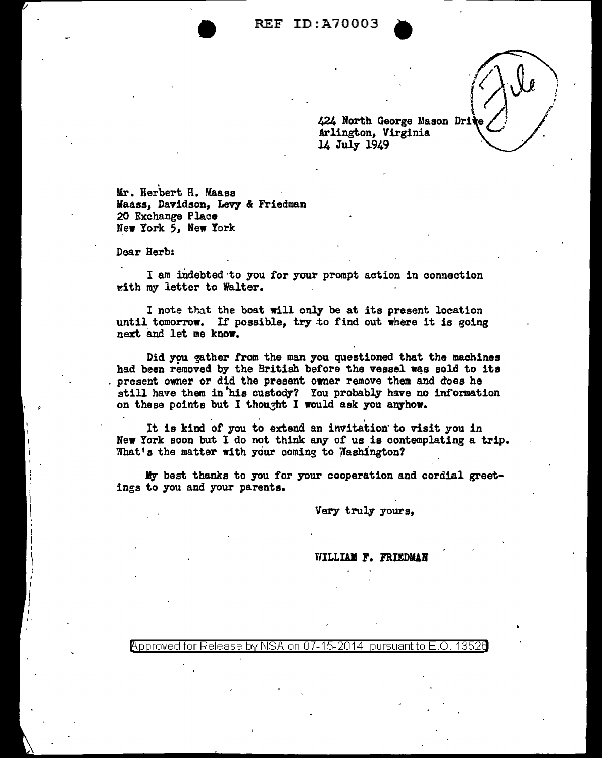$\sqrt{2}$ 

424 North George Mason Drite Arlington, Virginia<br>14 July 1949

. Mr. Herbert R. Maass Maass, Davidson, Levy & Friedman 20 Exchange Place New York 5, New York

Dear Herb:

I am indebted to you for your prompt action in connection ~ith my letter to Walter.

I note that the boat will only be at its present location until tomorrow. If possible, try to find out where it is going next and let me know.

Did you gather from the man you questioned that the machines had been removed by the British before the vessel was sold to its present owner or did the present owner remove them and does he still have them in his custody? You probably have no information on these points but I thought I would ask you anyhow.

It is kind of you to extend an invitation' to visit you in New York soon but I do not think any of us is contemplating a trip. What's the matter with your coming to Washington?

My best thanks to you for your cooperation and cordial greetings to you and your parents.

Very truly yours,

WILLIAM F. FRIEDMAN

@'pproved for Release by NSA on 07-15-2014 pursuantto E.O. 1352a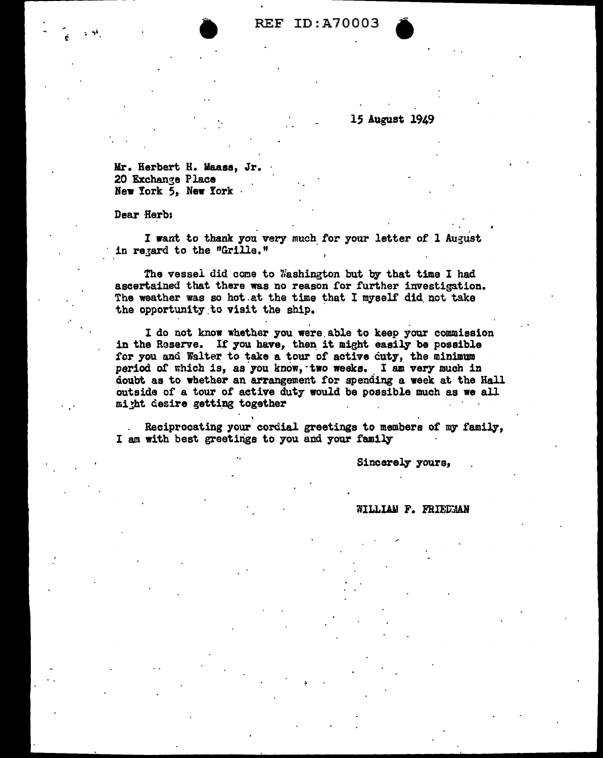## 15 August 1949

Mr. Herbert H. Maass, Jr. 20 Exchange Place New York 5, New York ·

Dear Herbs

I want to thank you very much for your letter of l August in regard to the "Grille."

The vessel did come to Washington but by that time I had ascertained that there was no reason for further investigation. The weather was so hot at the time that I myself did not take the opportunity to visit the ship.

. . I do not know whether you were.able to keep your commission in the Reserve. If you have, then it might easily be possible for you and Walter to take a tour of active cuty, the minimum period of which is, as you know, two weeks. I am very much in doubt as to whether an arrangement for spending a week at the Hall outside of a tour of active duty would be possible much as we all might desire getting together

Reciprocating your cordial greetings to members of my family, I am with best greetings to you and your family

Sincerely yours,

WILLIAM F. FRIEDMAN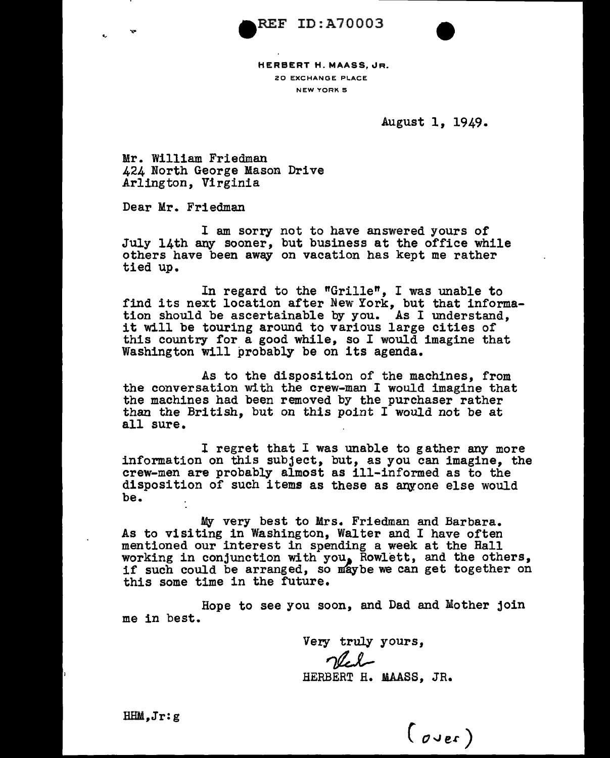REF ID:A70003



HERBERT H. MAASS, JR. 20 EXCHANGE PLACE NEW YORK 5

August 1, 1949.

Mr. William Friedman 424 North George Mason Drive Arlington, Virginia

Dear Mr. Friedman

I am sorry not to have answered yours of July 14th any sooner, but business at the office while others have been away on vacation has kept me rather tied up.

In regard to the "Grille", I was unable to find its next location after New York, but that information should be ascertainable by you. As I understand, it will be touring around to various large cities of this country for a good while, so I would imagine that Washington will probably be on its agenda.

As to the disposition of the machines, from the conversation with the crew-man I would imagine that the machines had been removed by the purchaser rather than the British, but on this point I would not be at all sure.

I regret that I was unable to gather any more information on this subject, but, as you can imagine, the crew-men are probably almost as ill-informed as to the disposition of such items as these as anyone else would be.

My very best to Mrs. Friedman and Barbara. As to visiting in Washington, Walter and I have often mentioned our interest in spending a week at the Hall working in conjunction with you, Rowlett, and the others, if such could be arranged, so maybe we can get together on this some time in the future.

Hope to see you soon, and Dad and Mother join me in best.

Very truly yours,<br>Very

HERBERT H. MAASS, JR.

 $(\overline{\mathfrak{o}}\mathfrak{ve}^{\mathfrak{e}})$ 

HHM,Jr:g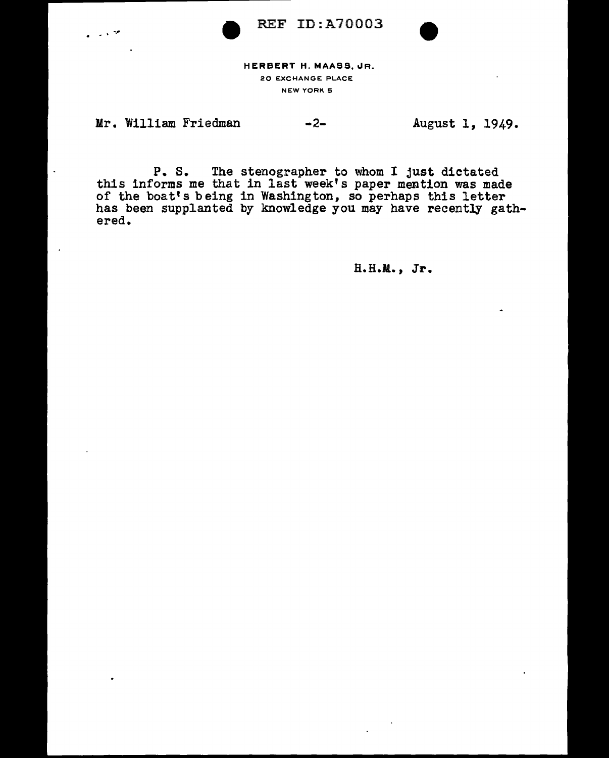REF ID:A70003



HERBERT H. MAASS, JR. 20 EXCHANGE PLACE NEW YORK 5

Mr. William Friedman

 $+$   $-$ 

-2- August 1, 1949.

P. S. The stenographer to whom I just dictated this informs me that in last week's paper mention was made of the boat's being in Washington, so perhaps this letter has been supplanted by knowledge you may have recently gath-<br>ered.

H.H.M., Jr.